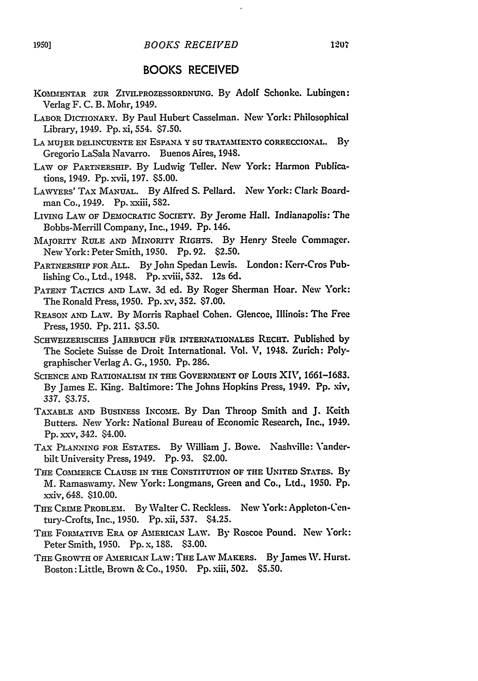## BOOKS RECEIVED

- KOMENTAR ZUR ZIVILPROZESSORDNUNG. By Adolf Schonke. Lubingen: Verlag F. C. B. Mohr, 1949.
- LABOR DICTIONARY. By Paul Hubert Casselman. New York: Philosophical Library, 1949. **Pp.** xi, 554. **\$7.50.**
- LA MUJER DELINCUENTE EN ESPANA Y SU TRATAMIENTO CORRECCIONAL. By Gregorio LaSala Navarro. Buenos Aires, 1948.
- LAW OF PARTNERSHIP. By Ludwig Teller. New York: Harmon Publications, 1949. Pp. xvii, 197. \$5.00.
- LAWYERS' TAx MANUAL. By Alfred S. Pellard. New York: Clark Boardman Co., 1949. Pp. xxiii, 582.
- LIVING LAW OF DEMOCRATIC SOCIETY. By Jerome Hall. Indianapolis: The Bobbs-Merrill Company, Inc., 1949. Pp. 146.
- MAJORITY RULE **AND** MINORITY RIGHTS. By Henry Steele Commager. NewYork: Peter Smith, 1950. Pp. 92. \$2.50.
- PARTNERSHIP FOR ALL. By John Spedan Lewis. London: Kerr-Cros Publishing Co., Ltd., 1948. Pp. xviii, 532. 12s 6d.
- PATENT TACTICS **AND** LAW. 3d ed. By Roger Sherman Hoar. New York: The Ronald Press, 1950. Pp. xv, 352. \$7.00.
- REASON **AND** LAW. By Morris Raphael Cohen. Glencoe, Illinois: The Free Press, 1950. Pp. 211. \$3.50.
- SCHWEIZERISCHES **JAHRBUCH** FiR INTERNATIONALES RECET. Published by The Societe Suisse de Droit International. Vol. V, 1948. Zurich: Polygraphischer Verlag A. G., 1950. Pp. 286.
- SCIENCE **AND** RATIONALISM IN THE GOVERNMENT **OF** Louis XIV, 1661-1683. By James E. King. Baltimore: The Johns Hopkins Press, 1949. Pp. xiv, 337. \$3.75.
- TAXABLE AND BUSINESS **INCOME.** By Dan Throop Smith and **J.** Keith Butters. New York: National Bureau of Economic Research, Inc., 1949. Pp. xxv, 342. \$4.00.
- TAx **PLANNING** FOR ESTATES. By William J. Bowe. Nashville: Vanderbilt University Press, 1949. Pp. 93. \$2.00.
- THE COMMERCE CLAUSE IN **THE** CONSTITUTION OF THE UNITED STATES. By M. Ramaswamy. New York: Longmans, Green and Co., Ltd., 1950. Pp. xxiv, 648. \$10.00.
- THE CRIME PROBLEM. By Walter C. Reckless. New York: Appleton-Century-Crofts, Inc., 1950. Pp. xii, 537. 84.25.
- THE FORMATIVE ERA OF AMERICAN LAW. By Roscoe Pound. New York: Peter Smith, 1950. Pp. x, 188. \$3.00.
- THE GROWTH OF AMERICAN LAW: THE LAW MAKERS. By James W. Hurst. Boston:Little, Brown & Co., 1950. Pp.xiii, 502. \$5.50.